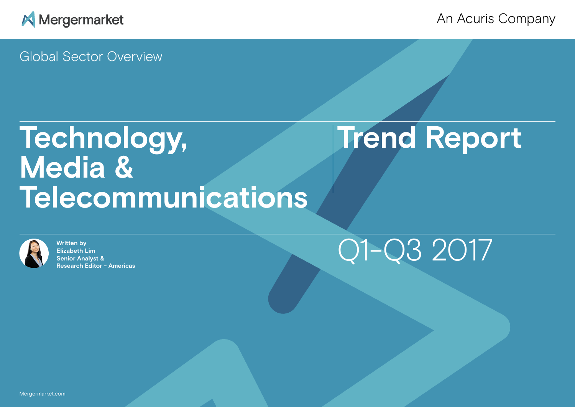

## An Acuris Company

Global Sector Overview

# **Technology, Trend Report Media & Telecommunications**



**Written by Elizabeth Lim Senior Analyst & Research Editor - Americas**

# Q1-Q3 2017

Mergermarket.com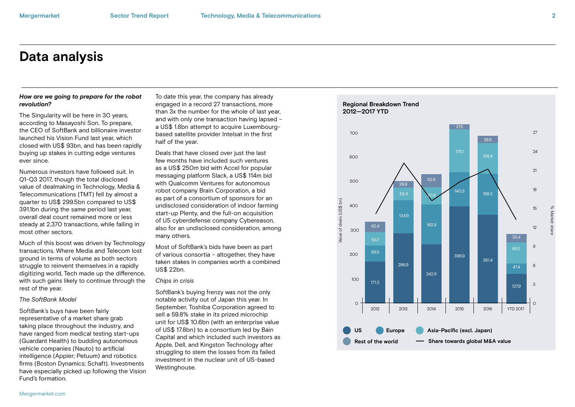## **Data analysis**

#### *How are we going to prepare for the robot revolution?*

The Singularity will be here in 30 years, according to Masayoshi Son. To prepare, the CEO of SoftBank and billionaire investor launched his Vision Fund last year, which closed with US\$ 93bn, and has been rapidly buying up stakes in cutting edge ventures ever since.

Numerous investors have followed suit. In Q1-Q3 2017, though the total disclosed value of dealmaking in Technology, Media & Telecommunications (TMT) fell by almost a quarter to US\$ 299.5bn compared to US\$ 391.1bn during the same period last year, overall deal count remained more or less steady at 2,370 transactions, while falling in most other sectors.

Much of this boost was driven by Technology transactions. Where Media and Telecom lost ground in terms of volume as both sectors struggle to reinvent themselves in a rapidly digitizing world, Tech made up the difference, with such gains likely to continue through the rest of the year.

#### *The SoftBank Model*

SoftBank's buys have been fairly representative of a market share grab taking place throughout the industry, and have ranged from medical testing start-ups (Guardant Health) to budding autonomous vehicle companies (Nauto) to artificial intelligence (Appier; Petuum) and robotics firms (Boston Dynamics; Schaft). Investments have especially picked up following the Vision Fund's formation.

To date this year, the company has already engaged in a record 27 transactions, more than 3x the number for the whole of last year, and with only one transaction having lapsed – a US\$ 1.8bn attempt to acquire Luxembourgbased satellite provider Intelsat in the first half of the year.

Deals that have closed over just the last few months have included such ventures as a US\$ 250m bid with Accel for popular messaging platform Slack, a US\$ 114m bid with Qualcomm Ventures for autonomous robot company Brain Corporation, a bid as part of a consortium of sponsors for an undisclosed consideration of indoor farming start-up Plenty, and the full-on acquisition of US cyberdefense company Cybereason, also for an undisclosed consideration, among many others.

Most of SoftBank's bids have been as part of various consortia – altogether, they have taken stakes in companies worth a combined US\$ 22bn.

#### *Chips in crisis*

SoftBank's buying frenzy was not the only notable activity out of Japan this year. In September, Toshiba Corporation agreed to sell a 59.8% stake in its prized microchip unit for US\$ 10.6bn (with an enterprise value of US\$ 17.8bn) to a consortium led by Bain Capital and which included such investors as Apple, Dell, and Kingston Technology after struggling to stem the losses from its failed investment in the nuclear unit of US-based Westinghouse.

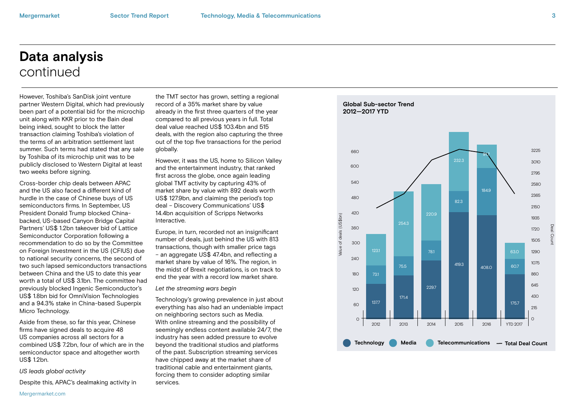## **Data analysis** continued

However, Toshiba's SanDisk joint venture partner Western Digital, which had previously been part of a potential bid for the microchip unit along with KKR prior to the Bain deal being inked, sought to block the latter transaction claiming Toshiba's violation of the terms of an arbitration settlement last summer. Such terms had stated that any sale by Toshiba of its microchip unit was to be publicly disclosed to Western Digital at least two weeks before signing.

Cross-border chip deals between APAC and the US also faced a different kind of hurdle in the case of Chinese buys of US semiconductors firms. In September, US President Donald Trump blocked Chinabacked, US-based Canyon Bridge Capital Partners' US\$ 1.2bn takeover bid of Lattice Semiconductor Corporation following a recommendation to do so by the Committee on Foreign Investment in the US (CFIUS) due to national security concerns, the second of two such lapsed semiconductors transactions between China and the US to date this year worth a total of US\$ 3.1bn. The committee had previously blocked Ingenic Semiconductor's US\$ 1.8bn bid for OmniVision Technologies and a 94.3% stake in China-based Superpix Micro Technology.

Aside from these, so far this year, Chinese firms have signed deals to acquire 48 US companies across all sectors for a combined US\$ 7.2bn, four of which are in the semiconductor space and altogether worth  $USS 12hn$ 

#### *US leads global activity*

Despite this, APAC's dealmaking activity in

the TMT sector has grown, setting a regional record of a 35% market share by value already in the first three quarters of the year compared to all previous years in full. Total deal value reached US\$ 103.4bn and 515 deals, with the region also capturing the three out of the top five transactions for the period globally.

However, it was the US, home to Silicon Valley and the entertainment industry, that ranked first across the globe, once again leading global TMT activity by capturing 43% of market share by value with 892 deals worth US\$ 127.9bn, and claiming the period's top deal – Discovery Communications' US\$ 14.4bn acquisition of Scripps Networks Interactive.

Europe, in turn, recorded not an insignificant number of deals, just behind the US with 813 transactions, though with smaller price tags – an aggregate US\$ 47.4bn, and reflecting a market share by value of 16%. The region, in the midst of Brexit negotiations, is on track to end the year with a record low market share.

*Let the streaming wars begin*

Technology's growing prevalence in just about everything has also had an undeniable impact on neighboring sectors such as Media. With online streaming and the possibility of seemingly endless content available 24/7, the industry has seen added pressure to evolve beyond the traditional studios and platforms of the past. Subscription streaming services have chipped away at the market share of traditional cable and entertainment giants, forcing them to consider adopting similar services.

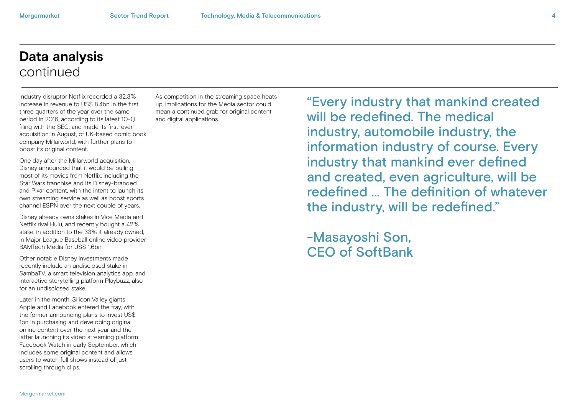## **Data analysis** continued

Industry disruptor Netflix recorded a 32.3% increase in revenue to US\$ 8.4bn in the first three quarters of the year over the same period in 2016, according to its latest 10-Q filing with the SEC, and made its first-ever acquisition in August, of UK-based comic book company Millarworld, with further plans to boost its original content.

One day after the Millarworld acquisition, Disney announced that it would be pulling most of its movies from Netflix, including the Star Wars franchise and its Disney-branded and Pixar content, with the intent to launch its own streaming service as well as boost sports channel ESPN over the next couple of years.

Disney already owns stakes in Vice Media and Netflix rival Hulu, and recently bought a 42% stake, in addition to the 33% it already owned, in Major League Baseball online video provider BAMTech Media for US\$ 16bn.

Other notable Disney investments made recently include an undisclosed stake in SambaTV, a smart television analytics app, and interactive storytelling platform Playbuzz, also for an undisclosed stake.

Later in the month, Silicon Valley giants Apple and Facebook entered the fray, with the former announcing plans to invest US\$ 1bn in purchasing and developing original online content over the next year and the latter launching its video streaming platform Facebook Watch in early September, which includes some original content and allows users to watch full shows instead of just scrolling through clips.

As competition in the streaming space heats up, implications for the Media sector could mean a continued grab for original content and digital applications.

"Every industry that mankind created will be redefined. The medical industry, automobile industry, the information industry of course. Every industry that mankind ever defined and created, even agriculture, will be redefined ... The definition of whatever the industry, will be redefined."

-Masayoshi Son, CEO of SoftBank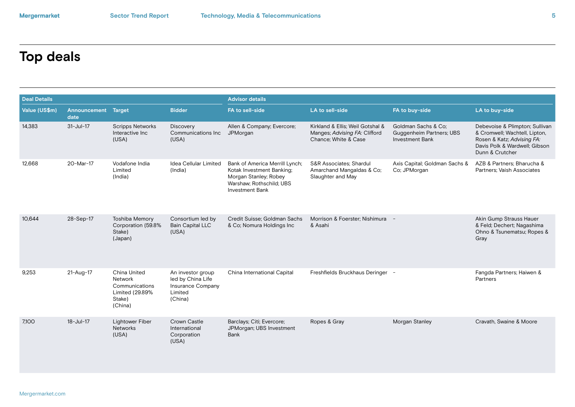# **Top deals**

| <b>Deal Details</b> |                                    |                                                                                   |                                                                                          | <b>Advisor details</b>                                                                                                                     |                                                                                           |                                                                           |                                                                                                                                                   |  |  |
|---------------------|------------------------------------|-----------------------------------------------------------------------------------|------------------------------------------------------------------------------------------|--------------------------------------------------------------------------------------------------------------------------------------------|-------------------------------------------------------------------------------------------|---------------------------------------------------------------------------|---------------------------------------------------------------------------------------------------------------------------------------------------|--|--|
| Value (US\$m)       | <b>Announcement Target</b><br>date |                                                                                   | <b>Bidder</b>                                                                            | FA to sell-side                                                                                                                            | LA to sell-side                                                                           | FA to buy-side                                                            | LA to buy-side                                                                                                                                    |  |  |
| 14,383              | $31 -$ Jul-17                      | <b>Scripps Networks</b><br>Interactive Inc.<br>(USA)                              | <b>Discovery</b><br>Communications Inc.<br>(USA)                                         | Allen & Company; Evercore;<br>JPMorgan                                                                                                     | Kirkland & Ellis: Weil Gotshal &<br>Manges; Advising FA: Clifford<br>Chance; White & Case | Goldman Sachs & Co;<br>Guggenheim Partners; UBS<br><b>Investment Bank</b> | Debevoise & Plimpton; Sullivan<br>& Cromwell; Wachtell, Lipton,<br>Rosen & Katz; Advising FA:<br>Davis Polk & Wardwell; Gibson<br>Dunn & Crutcher |  |  |
| 12.668              | 20-Mar-17                          | Vodafone India<br>Limited<br>(India)                                              | Idea Cellular Limited<br>(India)                                                         | Bank of America Merrill Lynch;<br>Kotak Investment Banking;<br>Morgan Stanley; Robey<br>Warshaw: Rothschild: UBS<br><b>Investment Bank</b> | <b>S&amp;R Associates: Shardul</b><br>Amarchand Mangaldas & Co;<br>Slaughter and May      | Axis Capital; Goldman Sachs &<br>Co; JPMorgan                             | AZB & Partners: Bharucha &<br>Partners: Vaish Associates                                                                                          |  |  |
| 10,644              | 28-Sep-17                          | <b>Toshiba Memory</b><br>Corporation (59.8%<br>Stake)<br>(Japan)                  | Consortium led by<br><b>Bain Capital LLC</b><br>(USA)                                    | Credit Suisse: Goldman Sachs<br>& Co; Nomura Holdings Inc                                                                                  | Morrison & Foerster: Nishimura -<br>& Asahi                                               |                                                                           | Akin Gump Strauss Hauer<br>& Feld; Dechert; Nagashima<br>Ohno & Tsunematsu; Ropes &<br>Gray                                                       |  |  |
| 9.253               | 21-Aug-17                          | China United<br>Network<br>Communications<br>Limited (29.89%<br>Stake)<br>(China) | An investor group<br>led by China Life<br><b>Insurance Company</b><br>Limited<br>(China) | China International Capital                                                                                                                | Freshfields Bruckhaus Deringer -                                                          |                                                                           | Fangda Partners; Haiwen &<br>Partners                                                                                                             |  |  |
| 7.100               | $18 - Jul - 17$                    | <b>Lightower Fiber</b><br><b>Networks</b><br>(USA)                                | Crown Castle<br>International<br>Corporation<br>(USA)                                    | Barclays; Citi; Evercore;<br>JPMorgan; UBS Investment<br>Bank                                                                              | Ropes & Gray                                                                              | Morgan Stanley                                                            | Cravath, Swaine & Moore                                                                                                                           |  |  |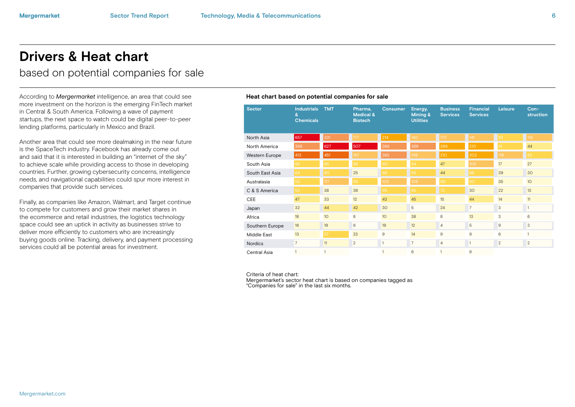## **Drivers & Heat chart**

based on potential companies for sale

According to *Mergermarket* intelligence, an area that could see **Heat chart based on potential companies for sale** more investment on the horizon is the emerging FinTech market in Central & South America. Following a wave of payment startups, the next space to watch could be digital peer-to-peer lending platforms, particularly in Mexico and Brazil.

Another area that could see more dealmaking in the near future is the SpaceTech industry. Facebook has already come out and said that it is interested in building an "internet of the sky" to achieve scale while providing access to those in developing countries. Further, growing cybersecurity concerns, intelligence needs, and navigational capabilities could spur more interest in companies that provide such services.

Finally, as companies like Amazon, Walmart, and Target continue to compete for customers and grow their market shares in the ecommerce and retail industries, the logistics technology space could see an uptick in activity as businesses strive to deliver more efficiently to customers who are increasingly buying goods online. Tracking, delivery, and payment processing services could all be potential areas for investment.

| <b>Sector</b>   | <b>Industrials</b><br>&<br><b>Chemicals</b> | <b>TMT</b>      | Pharma,<br>Medical &<br><b>Biotech</b> | <b>Consumer</b>  | Energy,<br>Mining &<br><b>Utilities</b> | <b>Business</b><br><b>Services</b> | Financial<br><b>Services</b> | Leisure        | $Con-$<br>struction |
|-----------------|---------------------------------------------|-----------------|----------------------------------------|------------------|-----------------------------------------|------------------------------------|------------------------------|----------------|---------------------|
| North Asia      | 657                                         | 331             | 177                                    | 214              | 140                                     | <b>170</b>                         | 141                          | 93             | 116                 |
| North America   | 366                                         | 627             | 507                                    | 386              | 389                                     | 269                                | 210                          | 61             | 44                  |
| Western Europe  | 413                                         | 451             | 167                                    | 383              | 149                                     | 210                                | 203                          | 119            | 82                  |
| South Asia      | 88                                          | 65              | 68                                     | 90               | 54                                      | 47                                 | 105                          | 17             | 27                  |
| South East Asia | 64                                          | 60              | 25                                     | 66               | 65                                      | 44                                 | 88                           | 39             | 30                  |
| Australasia     | 55                                          | 117             | 65                                     | 103 <sub>1</sub> | 108                                     | 69                                 | 60                           | 35             | 10 <sup>°</sup>     |
| C & S America   | 53                                          | 38              | 36                                     | 95               | 85                                      | 72                                 | 30                           | 22             | 13                  |
| <b>CEE</b>      | 47                                          | 33              | 12                                     | 43               | 45                                      | 15                                 | 44                           | 14             | 11                  |
| Japan           | 32                                          | 44              | 42                                     | 30               | 5                                       | 24                                 | $\overline{7}$               | 3              | $\mathbf{1}$        |
| Africa          | 18                                          | 10 <sup>°</sup> | 8                                      | 10               | 38                                      | 8                                  | 13                           | 3              | 6                   |
| Southern Europe | 16                                          | 19              | 6                                      | 19               | 12                                      | $\overline{4}$                     | 5                            | $\overline{9}$ | 3                   |
| Middle East     | 13                                          | 57              | 23                                     | 9                | 14                                      | 9                                  | 9                            | 6              | $\mathbf{1}$        |
| <b>Nordics</b>  | $\overline{7}$                              | 11              | $\overline{2}$                         | $\mathbf{1}$     | $\overline{7}$                          | $\overline{4}$                     | $\mathbf{1}$                 | 2              | $\overline{2}$      |
| Central Asia    |                                             | $\mathbf{1}$    |                                        |                  | 6                                       |                                    | 6                            |                |                     |

Criteria of heat chart:

Mergermarket's sector heat chart is based on companies tagged as "Companies for sale" in the last six months.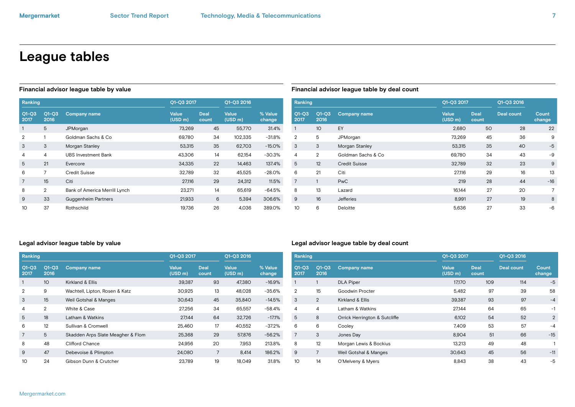## **League tables**

| Ranking         |                 |                               |                         | Q1-Q3 2017           |                         |                   |
|-----------------|-----------------|-------------------------------|-------------------------|----------------------|-------------------------|-------------------|
| $Q1-Q3$<br>2017 | $Q1-Q3$<br>2016 | <b>Company name</b>           | <b>Value</b><br>(USD m) | <b>Deal</b><br>count | <b>Value</b><br>(USD m) | % Value<br>change |
| 1               | 5               | JPMorgan                      | 73,269                  | 45                   | 55,770                  | 31.4%             |
| $\mathbf{2}$    | 1               | Goldman Sachs & Co.           | 69.780                  | 34                   | 102.335                 | $-31.8%$          |
| 3               | 3               | Morgan Stanley                | 53.315                  | 35                   | 62.703                  | $-15.0%$          |
| 4               | 4               | <b>UBS Investment Bank</b>    | 43,306                  | 14                   | 62,154                  | $-30.3%$          |
| 5               | 21              | Evercore                      | 34,335                  | 22                   | 14.463                  | 137.4%            |
| 6               | 7               | <b>Credit Suisse</b>          | 32.789                  | 32                   | 45,525                  | $-28.0%$          |
| 7               | 15              | Citi                          | 27,116                  | 29                   | 24,312                  | 11.5%             |
| 8               | $\overline{2}$  | Bank of America Merrill Lynch | 23,271                  | 14                   | 65.619                  | $-64.5%$          |
| 9               | 33              | Guggenheim Partners           | 21,933                  | 6                    | 5,394                   | 306.6%            |
| 10              | 37              | Rothschild                    | 19,736                  | 26                   | 4,036                   | 389.0%            |

### **Financial advisor league table by value Financial advisor league table by deal count**

| Ranking         |                 |                      | Q1-Q3 2017              |                      | Q1-Q3 2016        |                 |
|-----------------|-----------------|----------------------|-------------------------|----------------------|-------------------|-----------------|
| $Q1-Q3$<br>2017 | $Q1-Q3$<br>2016 | <b>Company name</b>  | <b>Value</b><br>(USD m) | <b>Deal</b><br>count | <b>Deal count</b> | Count<br>change |
| 1               | 10              | EY                   | 2,680                   | 50                   | 28                | 22              |
| $\overline{2}$  | 5               | JPMorgan             | 73,269                  | 45                   | 36                | 9               |
| 3               | 3               | Morgan Stanley       | 53,315                  | 35                   | 40                | $-5$            |
| 4               | 2               | Goldman Sachs & Co.  | 69.780                  | 34                   | 43                | $-9$            |
| 5               | 12              | <b>Credit Suisse</b> | 32.789                  | 32                   | 23                | 9               |
| 6               | 21              | Citi                 | 27,116                  | 29                   | 16                | 13              |
| $\overline{7}$  | $\mathbf{1}$    | <b>PwC</b>           | 219                     | 28                   | 44                | $-16$           |
| 8               | 13              | Lazard               | 16,144                  | 27                   | 20                | 7               |
| 9               | 16              | <b>Jefferies</b>     | 8,991                   | 27                   | 19                | 8               |
| 10              | 6               | Deloitte             | 5,636                   | 27                   | 33                | -6              |

### **Legal advisor league table by value**

| Ranking         |                 |                                   |                         | Q1-Q3 2017           |                         |                   |
|-----------------|-----------------|-----------------------------------|-------------------------|----------------------|-------------------------|-------------------|
| $Q1-Q3$<br>2017 | $O1-O3$<br>2016 | <b>Company name</b>               | <b>Value</b><br>(USD m) | <b>Deal</b><br>count | <b>Value</b><br>(USD m) | % Value<br>change |
| 1               | 10              | Kirkland & Ellis                  | 39,387                  | 93                   | 47.380                  | $-16.9%$          |
| $\mathbf{2}$    | 9               | Wachtell, Lipton, Rosen & Katz    | 30.925                  | 13                   | 48.028                  | $-35.6%$          |
| 3               | 15              | Weil Gotshal & Manges             | 30.643                  | 45                   | 35,840                  | $-14.5%$          |
| 4               | $\overline{2}$  | White & Case                      | 27.256                  | 34                   | 65,557                  | $-58.4%$          |
| 5               | 18              | Latham & Watkins                  | 27.144                  | 64                   | 32.726                  | $-17.1%$          |
| 6               | 12              | Sullivan & Cromwell               | 25,460                  | 17                   | 40.552                  | $-37.2%$          |
| 7               | 5               | Skadden Arps Slate Meagher & Flom | 25,368                  | 29                   | 57,876                  | $-56.2%$          |
| 8               | 48              | Clifford Chance                   | 24.956                  | 20                   | 7.953                   | 213.8%            |
| 9               | 47              | Debevoise & Plimpton              | 24,080                  | 7                    | 8.414                   | 186.2%            |
| 10              | 24              | Gibson Dunn & Crutcher            | 23.789                  | 19                   | 18.049                  | 31.8%             |

### **Legal advisor league table by deal count**

| Ranking         |                 |                               | Q1-Q3 2017              |                      | Q1-Q3 2016        |                 |
|-----------------|-----------------|-------------------------------|-------------------------|----------------------|-------------------|-----------------|
| $O1-O3$<br>2017 | $Q1-Q3$<br>2016 | <b>Company name</b>           | <b>Value</b><br>(USD m) | <b>Deal</b><br>count | <b>Deal count</b> | Count<br>change |
| 1               | 1               | <b>DLA Piper</b>              | <b>17,170</b>           | 109                  | 114               | $-5$            |
| $\overline{2}$  | 15              | Goodwin Procter               | 5,482                   | 97                   | 39                | 58              |
| 3               | $\overline{2}$  | Kirkland & Ellis              | 39,387                  | 93                   | 97                | $-4$            |
| 4               | 4               | Latham & Watkins              | 27.144                  | 64                   | 65                | $-1$            |
| 5               | 8               | Orrick Herrington & Sutcliffe | 6,102                   | 54                   | 52                | $\overline{2}$  |
| 6               | 6               | Cooley                        | 7,409                   | 53                   | 57                | $-4$            |
| $\overline{7}$  | 3               | Jones Day                     | 8,904                   | 51                   | 66                | $-15$           |
| 8               | 12              | Morgan Lewis & Bockius        | 13,213                  | 49                   | 48                |                 |
| 9               | $\overline{7}$  | Weil Gotshal & Manges         | 30,643                  | 45                   | 56                | $-11$           |
| 10              | 14              | O'Melveny & Myers             | 8,843                   | 38                   | 43                | -5              |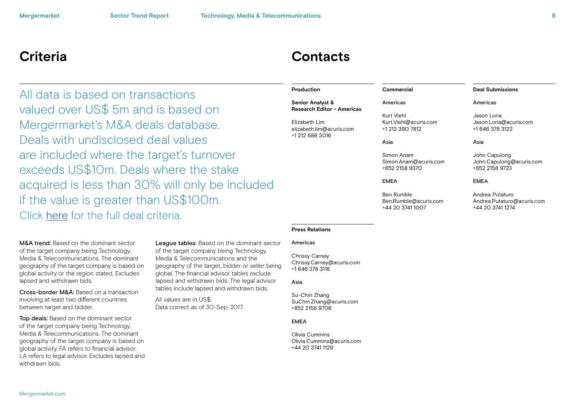## **Criteria Contacts**

All data is based on transactions valued over US\$ 5m and is based on Mergermarket's M&A deals database. Deals with undisclosed deal values are included where the target's turnover exceeds US\$10m. Deals where the stake acquired is less than 30% will only be included if the value is greater than US\$100m. Click [here](http://www.mergermarket.com/pdf/deal_criteria.pdf) for the full deal criteria.

M&A trend: Based on the dominant sector of the target company being Technology, Media & Telecommunications. The dominant geography of the target company is based on global activity or the region stated. Excludes lapsed and withdrawn bids.

Cross-border M&A: Based on a transaction involving at least two different countries between target and bidder.

Top deals: Based on the dominant sector of the target company being Technology, Media & Telecommunications. The dominant geography of the target company is based on global activity. FA refers to financial advisor. LA refers to legal advisor. Excludes lapsed and withdrawn bids.

League tables: Based on the dominant sector of the target company being Technology, Media & Telecommunications and the geography of the target, bidder or seller being global. The financial advisor tables exclude lapsed and withdrawn bids. The legal advisor tables include lapsed and withdrawn bids.

All values are in US\$. Data correct as of 30-Sep-2017.

#### **Production**

#### **Senior Analyst & Research Editor - Americas**

Elizabeth Lim elizabeth.lim@acuris.com +1 212 686 3016

Asia

**Commercial** Americas Kurt Viehl

Simon Anam Simon.Anam@acuris.com +852 2158 9370

Kurt.Viehl@acuris.com +1 212 390 7812

EMEA

Ben Rumble Ben.Rumble@acuris.com +44 20 3741 1007

### **Deal Submissions** Americas

Jason Loria Jason.Loria@acuris.com +1 646 378 3122

#### Asia

John Capulong John.Capulong@acuris.com +852 2158 9723

#### EMEA

Andrea Putaturo Andrea.Putaturo@acuris.com +44 20 3741 1274

## **Press Relations**

#### Americas

Chrissy Carney Chrissy.Carney@acuris.com +1 646 378 3118

#### Asia

Su-Chin Zhang SuChin.Zhang@acuris.com +852 2158 9706

#### **FMFA**

Olivia Cummins Olivia.Cummins@acuris.com +44 20 3741 1129